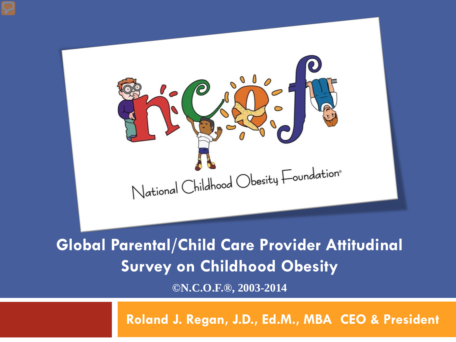

**Global Parental/Child Care Provider Attitudinal Survey on Childhood Obesity**

**©N.C.O.F.®, 2003-2014**

**Roland J. Regan, J.D., Ed.M., MBA CEO & President**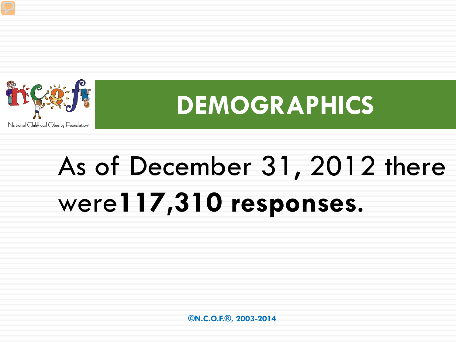

## **DEMOGRAPHICS**

## As of December 31, 2012 there were**117,310 responses**.

 **©N.C.O.F.®, 2003-2014**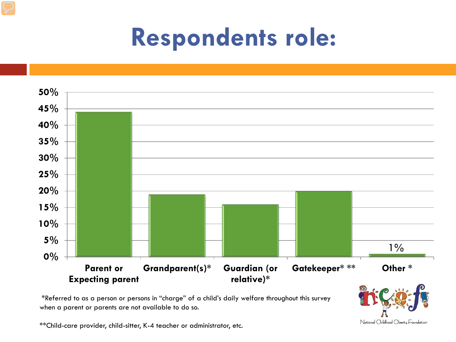## **Respondents role:**



\*Referred to as a person or persons in "charge" of a child's daily welfare throughout this survey when a parent or parents are not available to do so.

\*\*Child-care provider, child-sitter, K-4 teacher or administrator, etc.

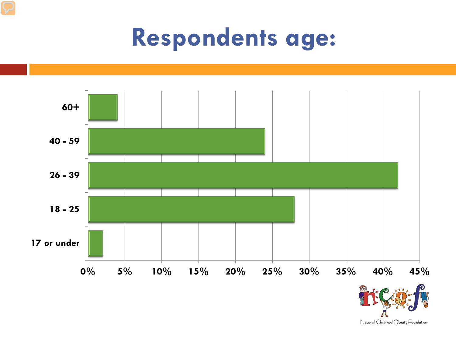## **Respondents age:**



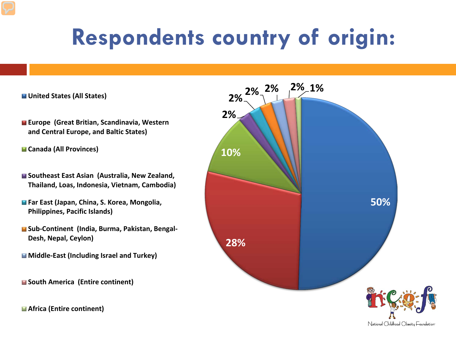## **Respondents country of origin:**

#### **United States (All States)**

- **Europe (Great Britian, Scandinavia, Western and Central Europe, and Baltic States)**
- **Canada (All Provinces)**
- Southeast East Asian (Australia, New Zealand, **Thailand, Loas, Indonesia, Vietnam, Cambodia)**
- **Far East (Japan, China, S. Korea, Mongolia, Philippines, Pacific Islands)**
- **Sub-Continent (India, Burma, Pakistan, Bengal-Desh, Nepal, Ceylon)**
- **Middle-East (Including Israel and Turkey)**

**South America (Entire continent)**

**Africa (Entire continent)**

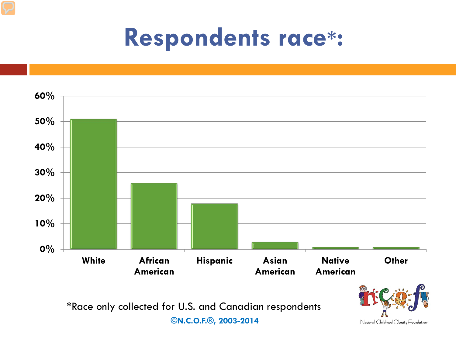## **Respondents race\*:**



 **©N.C.O.F.®, 2003-2014**

National Childhood Obesity Foundation<sup>®</sup>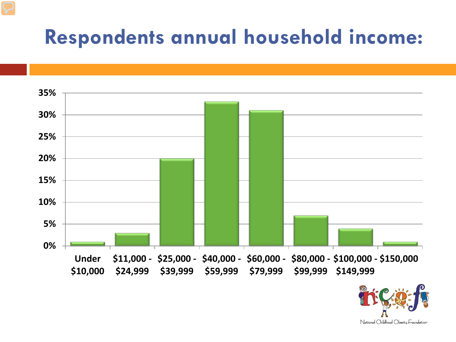### **Respondents annual household income:**



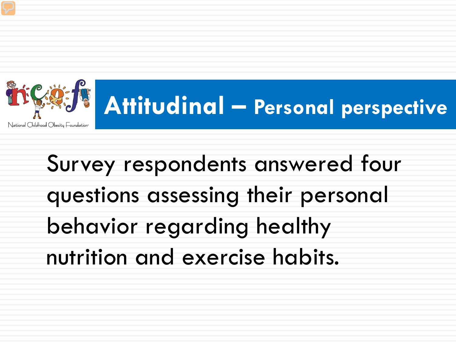

## **Attitudinal – Personal perspective**

Survey respondents answered four questions assessing their personal behavior regarding healthy nutrition and exercise habits.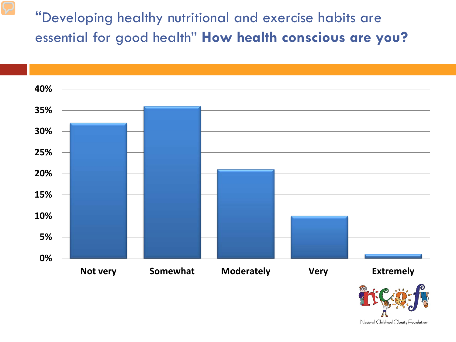"Developing healthy nutritional and exercise habits are essential for good health" **How health conscious are you?** 



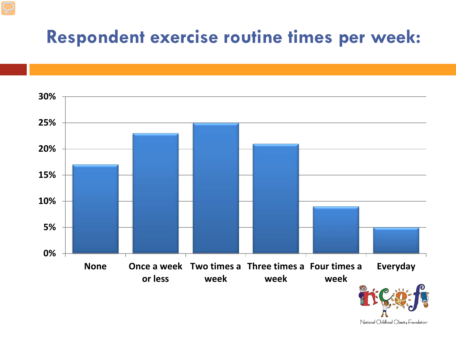### **Respondent exercise routine times per week:**

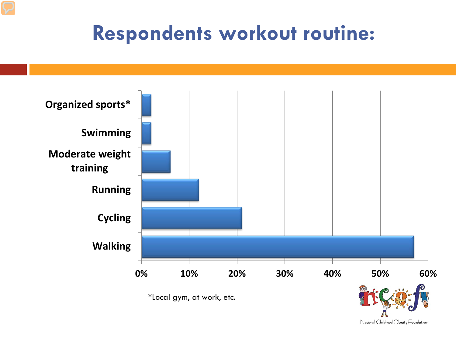### **Respondents workout routine:**



\*Local gym, at work, etc.

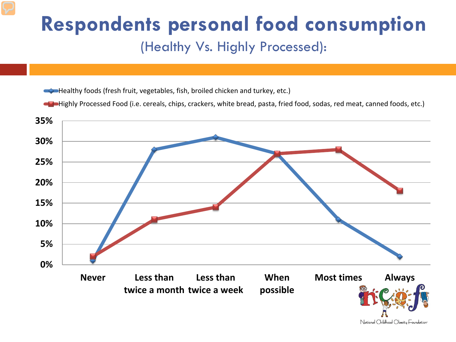### **Respondents personal food consumption**

#### (Healthy Vs. Highly Processed):

Healthy foods (fresh fruit, vegetables, fish, broiled chicken and turkey, etc.)

Highly Processed Food (i.e. cereals, chips, crackers, white bread, pasta, fried food, sodas, red meat, canned foods, etc.)

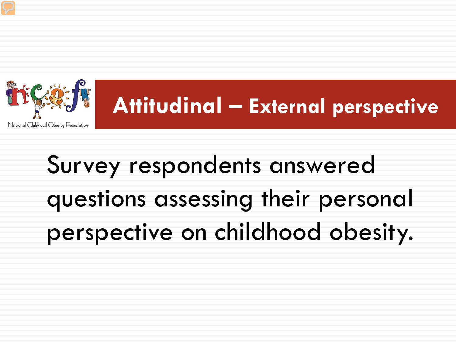## Survey respondents answered questions assessing their personal perspective on childhood obesity.



## **Attitudinal – External perspective**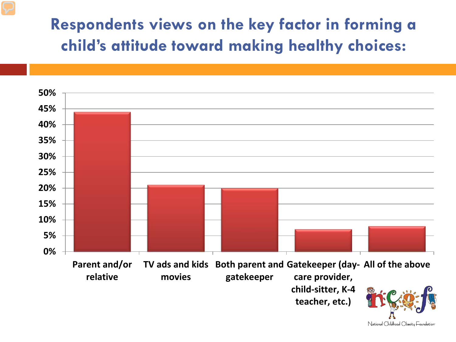#### **Respondents views on the key factor in forming a child's attitude toward making healthy choices:**

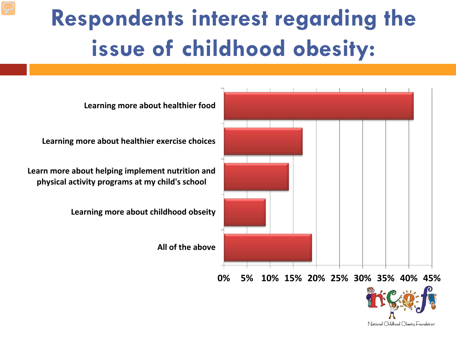## **Respondents interest regarding the issue of childhood obesity:**



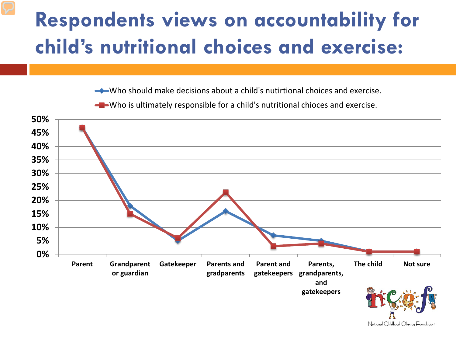### **Respondents views on accountability for child's nutritional choices and exercise:**

Who should make decisions about a child's nutirtional choices and exercise.



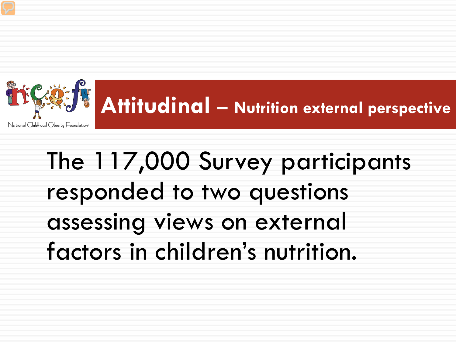

# **Attitudinal – Nutrition external perspective**

## The 117,000 Survey participants responded to two questions assessing views on external factors in children's nutrition.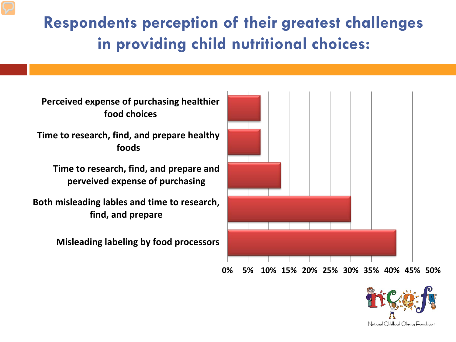#### **Respondents perception of their greatest challenges in providing child nutritional choices:**

**Perceived expense of purchasing healthier food choices**

**Time to research, find, and prepare healthy foods**

**Time to research, find, and prepare and perveived expense of purchasing**

**Both misleading lables and time to research, find, and prepare**

**Misleading labeling by food processors**



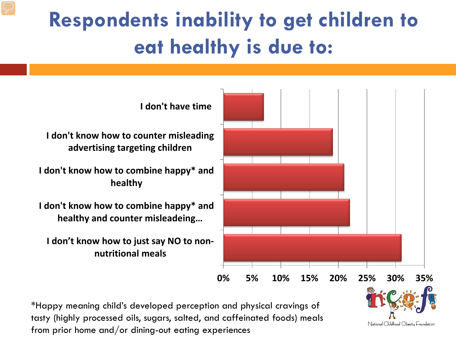## **Respondents inability to get children to eat healthy is due to:**



\*Happy meaning child's developed perception and physical cravings of tasty (highly processed oils, sugars, salted, and caffeinated foods) meals from prior home and/or dining-out eating experiences

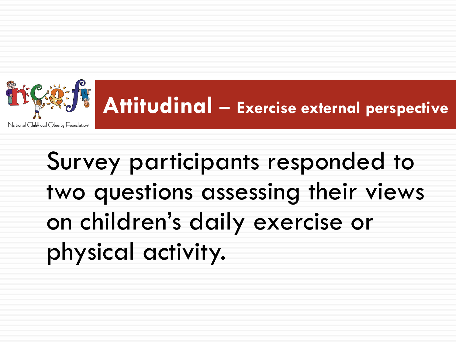

## **Attitudinal – Exercise external perspective**

Survey participants responded to two questions assessing their views on children's daily exercise or physical activity.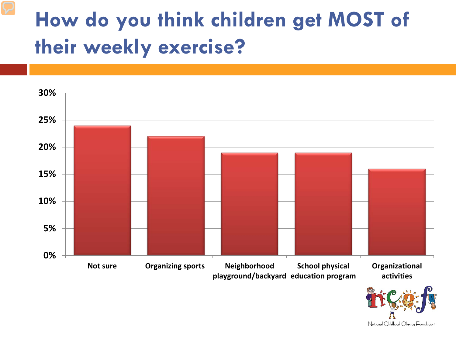### **How do you think children get MOST of their weekly exercise?**



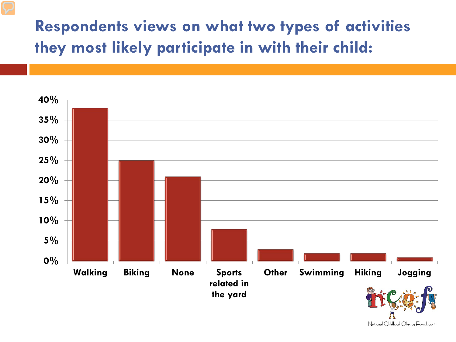#### **Respondents views on what two types of activities they most likely participate in with their child:**